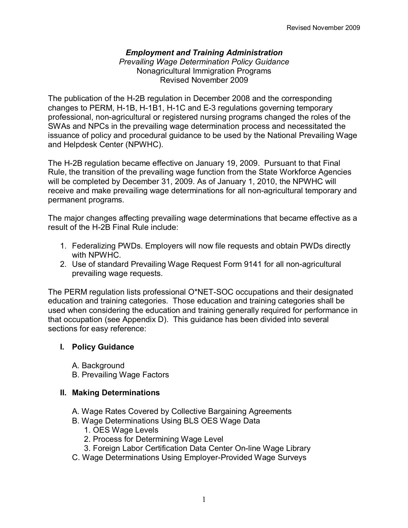#### *Employment and Training Administration Prevailing Wage Determination Policy Guidance* Nonagricultural Immigration Programs Revised November 2009

The publication of the H-2B regulation in December 2008 and the corresponding changes to PERM, H-1B, H-1B1, H-1C and E-3 regulations governing temporary professional, non-agricultural or registered nursing programs changed the roles of the SWAs and NPCs in the prevailing wage determination process and necessitated the issuance of policy and procedural guidance to be used by the National Prevailing Wage and Helpdesk Center (NPWHC).

The H2B regulation became effective on January 19, 2009. Pursuant to that Final Rule, the transition of the prevailing wage function from the State Workforce Agencies will be completed by December 31, 2009. As of January 1, 2010, the NPWHC will receive and make prevailing wage determinations for all non-agricultural temporary and permanent programs.

The major changes affecting prevailing wage determinations that became effective as a result of the H2B Final Rule include:

- 1. Federalizing PWDs. Employers will now file requests and obtain PWDs directly with NPWHC.
- 2. Use of standard Prevailing Wage Request Form 9141 for all non-agricultural prevailing wage requests.

The PERM regulation lists professional O\*NET-SOC occupations and their designated education and training categories. Those education and training categories shall be used when considering the education and training generally required for performance in that occupation (see Appendix D). This guidance has been divided into several sections for easy reference:

## **I. Policy Guidance**

A. Background B. Prevailing Wage Factors

### **II. Making Determinations**

- A. Wage Rates Covered by Collective Bargaining Agreements
- B. Wage Determinations Using BLS OES Wage Data
	- 1. OES Wage Levels
	- 2. Process for Determining Wage Level
	- 3. Foreign Labor Certification Data Center On-line Wage Library
- C. Wage Determinations Using Employer-Provided Wage Surveys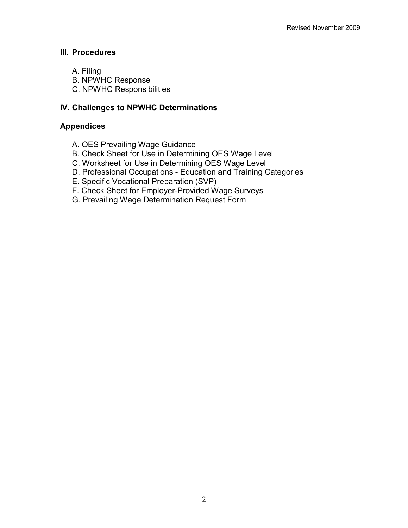## **III. Procedures**

- A. Filing
- B. NPWHC Response
- C. NPWHC Responsibilities

# **IV. Challenges to NPWHC Determinations**

## **Appendices**

- A. OES Prevailing Wage Guidance
- B. Check Sheet for Use in Determining OES Wage Level
- C. Worksheet for Use in Determining OES Wage Level
- D. Professional Occupations Education and Training Categories
- E. Specific Vocational Preparation (SVP)
- F. Check Sheet for Employer-Provided Wage Surveys
- G. Prevailing Wage Determination Request Form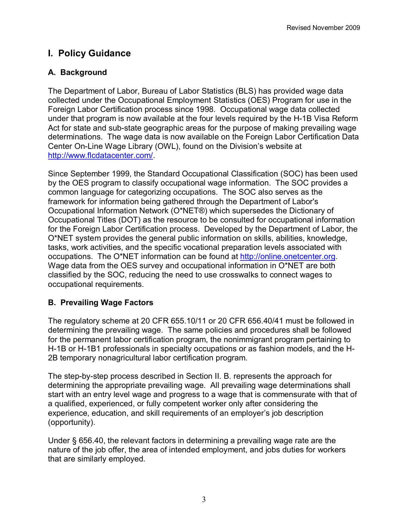# **I. Policy Guidance**

# **A. Background**

The Department of Labor, Bureau of Labor Statistics (BLS) has provided wage data collected under the Occupational Employment Statistics (OES) Program for use in the Foreign Labor Certification process since 1998. Occupational wage data collected under that program is now available at the four levels required by the H-1B Visa Reform Act for state and sub-state geographic areas for the purpose of making prevailing wage determinations. The wage data is now available on the Foreign Labor Certification Data Center On-Line Wage Library (OWL), found on the Division's website at <http://www.flcdatacenter.com/>.

Since September 1999, the Standard Occupational Classification (SOC) has been used by the OES program to classify occupational wage information. The SOC provides a common language for categorizing occupations. The SOC also serves as the framework for information being gathered through the Department of Labor's Occupational Information Network (O\*NET®) which supersedes the Dictionary of Occupational Titles (DOT) as the resource to be consulted for occupational information for the Foreign Labor Certification process. Developed by the Department of Labor, the O\*NET system provides the general public information on skills, abilities, knowledge, tasks, work activities, and the specific vocational preparation levels associated with occupations. The O\*NET information can be found at [http://online.onetcenter.org.](http://online.onetcenter.org/) Wage data from the OES survey and occupational information in O\*NET are both classified by the SOC, reducing the need to use crosswalks to connect wages to occupational requirements.

# **B. Prevailing Wage Factors**

The regulatory scheme at 20 CFR 655.10/11 or 20 CFR 656.40/41 must be followed in determining the prevailing wage. The same policies and procedures shall be followed for the permanent labor certification program, the nonimmigrant program pertaining to H-1B or H-1B1 professionals in specialty occupations or as fashion models, and the H-2B temporary nonagricultural labor certification program.

The step-by-step process described in Section II. B. represents the approach for determining the appropriate prevailing wage. All prevailing wage determinations shall start with an entry level wage and progress to a wage that is commensurate with that of a qualified, experienced, or fully competent worker only after considering the experience, education, and skill requirements of an employer's job description (opportunity).

Under § 656.40, the relevant factors in determining a prevailing wage rate are the nature of the job offer, the area of intended employment, and jobs duties for workers that are similarly employed.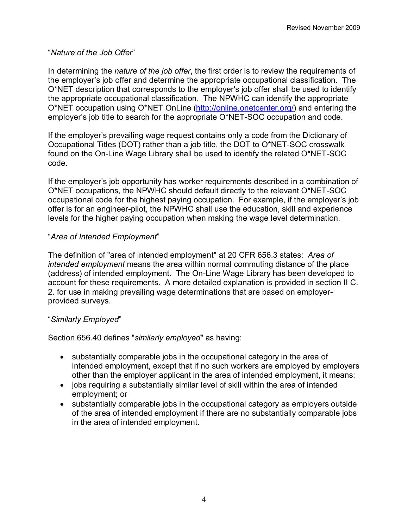## "*Nature of the Job Offer*"

In determining the *nature of the job offer*, the first order is to review the requirements of the employer's job offer and determine the appropriate occupational classification. The O\*NET description that corresponds to the employer's job offer shall be used to identify the appropriate occupational classification. The NPWHC can identify the appropriate O\*NET occupation using O\*NET OnLine [\(http://online.onetcenter.org/](http://online.onetcenter.org/)) and entering the employer's job title to search for the appropriate O\*NET-SOC occupation and code.

If the employer's prevailing wage request contains only a code from the Dictionary of Occupational Titles (DOT) rather than a job title, the DOT to O\*NET-SOC crosswalk found on the On-Line Wage Library shall be used to identify the related O\*NET-SOC code.

If the employer's job opportunity has worker requirements described in a combination of O\*NET occupations, the NPWHC should default directly to the relevant O\*NET-SOC occupational code for the highest paying occupation. For example, if the employer's job offer is for an engineer-pilot, the NPWHC shall use the education, skill and experience levels for the higher paying occupation when making the wage level determination.

## "*Area of Intended Employment*"

The definition of "area of intended employment" at 20 CFR 656.3 states: *Area of intended employment* means the area within normal commuting distance of the place (address) of intended employment. The On-Line Wage Library has been developed to account for these requirements. A more detailed explanation is provided in section II C. 2. for use in making prevailing wage determinations that are based on employer provided surveys.

### "*Similarly Employed*"

Section 656.40 defines "*similarly employed*" as having:

- · substantially comparable jobs in the occupational category in the area of intended employment, except that if no such workers are employed by employers other than the employer applicant in the area of intended employment, it means:
- · jobs requiring a substantially similar level of skill within the area of intended employment; or
- · substantially comparable jobs in the occupational category as employers outside of the area of intended employment if there are no substantially comparable jobs in the area of intended employment.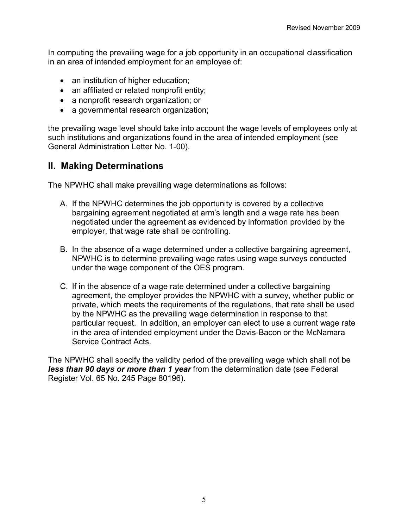In computing the prevailing wage for a job opportunity in an occupational classification in an area of intended employment for an employee of:

- an institution of higher education;
- an affiliated or related nonprofit entity;
- · a nonprofit research organization; or
- · a governmental research organization;

the prevailing wage level should take into account the wage levels of employees only at such institutions and organizations found in the area of intended employment (see General Administration Letter No. 1-00).

# **II. Making Determinations**

The NPWHC shall make prevailing wage determinations as follows:

- A. If the NPWHC determines the job opportunity is covered by a collective bargaining agreement negotiated at arm's length and a wage rate has been negotiated under the agreement as evidenced by information provided by the employer, that wage rate shall be controlling.
- B. In the absence of a wage determined under a collective bargaining agreement, NPWHC is to determine prevailing wage rates using wage surveys conducted under the wage component of the OES program.
- C. If in the absence of a wage rate determined under a collective bargaining agreement, the employer provides the NPWHC with a survey, whether public or private, which meets the requirements of the regulations, that rate shall be used by the NPWHC as the prevailing wage determination in response to that particular request. In addition, an employer can elect to use a current wage rate in the area of intended employment under the Davis-Bacon or the McNamara Service Contract Acts.

The NPWHC shall specify the validity period of the prevailing wage which shall not be *less than 90 days or more than 1 year* from the determination date (see Federal Register Vol. 65 No. 245 Page 80196).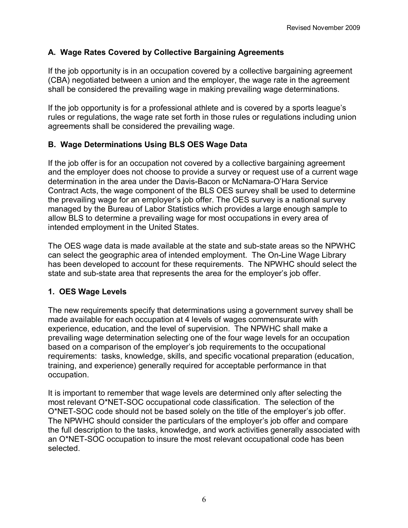# **A. Wage Rates Covered by Collective Bargaining Agreements**

If the job opportunity is in an occupation covered by a collective bargaining agreement (CBA) negotiated between a union and the employer, the wage rate in the agreement shall be considered the prevailing wage in making prevailing wage determinations.

If the job opportunity is for a professional athlete and is covered by a sports league's rules or regulations, the wage rate set forth in those rules or regulations including union agreements shall be considered the prevailing wage.

## **B. Wage Determinations Using BLS OES Wage Data**

If the job offer is for an occupation not covered by a collective bargaining agreement and the employer does not choose to provide a survey or request use of a current wage determination in the area under the Davis-Bacon or McNamara-O'Hara Service Contract Acts, the wage component of the BLS OES survey shall be used to determine the prevailing wage for an employer's job offer. The OES survey is a national survey managed by the Bureau of Labor Statistics which provides a large enough sample to allow BLS to determine a prevailing wage for most occupations in every area of intended employment in the United States.

The OES wage data is made available at the state and sub-state areas so the NPWHC can select the geographic area of intended employment. The On-Line Wage Library has been developed to account for these requirements. The NPWHC should select the state and sub-state area that represents the area for the employer's job offer.

## **1. OES Wage Levels**

The new requirements specify that determinations using a government survey shall be made available for each occupation at 4 levels of wages commensurate with experience, education, and the level of supervision. The NPWHC shall make a prevailing wage determination selecting one of the four wage levels for an occupation based on a comparison of the employer's job requirements to the occupational requirements: tasks, knowledge, skills, and specific vocational preparation (education, training, and experience) generally required for acceptable performance in that occupation.

It is important to remember that wage levels are determined only after selecting the most relevant O\*NET-SOC occupational code classification. The selection of the O\*NET-SOC code should not be based solely on the title of the employer's job offer. The NPWHC should consider the particulars of the employer's job offer and compare the full description to the tasks, knowledge, and work activities generally associated with an O\*NET-SOC occupation to insure the most relevant occupational code has been selected.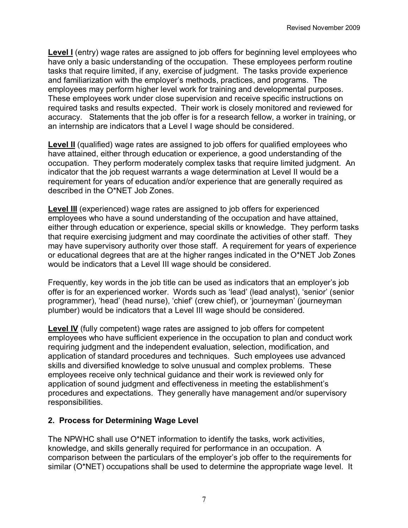**Level I** (entry) wage rates are assigned to job offers for beginning level employees who have only a basic understanding of the occupation. These employees perform routine tasks that require limited, if any, exercise of judgment. The tasks provide experience and familiarization with the employer's methods, practices, and programs. The employees may perform higher level work for training and developmental purposes. These employees work under close supervision and receive specific instructions on required tasks and results expected. Their work is closely monitored and reviewed for accuracy. Statements that the job offer is for a research fellow, a worker in training, or an internship are indicators that a Level I wage should be considered.

**Level II** (qualified) wage rates are assigned to job offers for qualified employees who have attained, either through education or experience, a good understanding of the occupation. They perform moderately complex tasks that require limited judgment. An indicator that the job request warrants a wage determination at Level II would be a requirement for years of education and/or experience that are generally required as described in the O\*NET Job Zones.

**Level III** (experienced) wage rates are assigned to job offers for experienced employees who have a sound understanding of the occupation and have attained, either through education or experience, special skills or knowledge. They perform tasks that require exercising judgment and may coordinate the activities of other staff. They may have supervisory authority over those staff. A requirement for years of experience or educational degrees that are at the higher ranges indicated in the O\*NET Job Zones would be indicators that a Level III wage should be considered.

Frequently, key words in the job title can be used as indicators that an employer's job offer is for an experienced worker. Words such as 'lead' (lead analyst), 'senior' (senior programmer), 'head' (head nurse), 'chief' (crew chief), or 'journeyman' (journeyman plumber) would be indicators that a Level III wage should be considered.

**Level IV** (fully competent) wage rates are assigned to job offers for competent employees who have sufficient experience in the occupation to plan and conduct work requiring judgment and the independent evaluation, selection, modification, and application of standard procedures and techniques. Such employees use advanced skills and diversified knowledge to solve unusual and complex problems. These employees receive only technical guidance and their work is reviewed only for application of sound judgment and effectiveness in meeting the establishment's procedures and expectations. They generally have management and/or supervisory responsibilities.

## **2. Process for Determining Wage Level**

The NPWHC shall use O\*NET information to identify the tasks, work activities, knowledge, and skills generally required for performance in an occupation. A comparison between the particulars of the employer's job offer to the requirements for similar (O\*NET) occupations shall be used to determine the appropriate wage level. It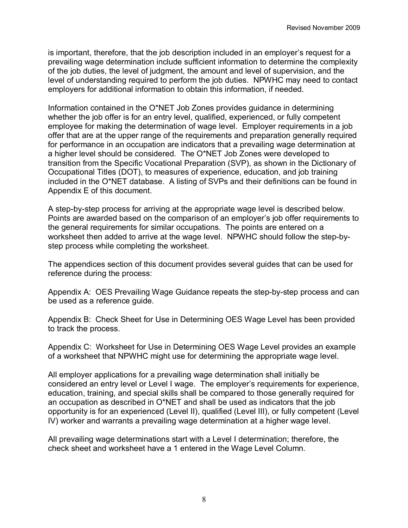is important, therefore, that the job description included in an employer's request for a prevailing wage determination include sufficient information to determine the complexity of the job duties, the level of judgment, the amount and level of supervision, and the level of understanding required to perform the job duties. NPWHC may need to contact employers for additional information to obtain this information, if needed.

Information contained in the O\*NET Job Zones provides guidance in determining whether the job offer is for an entry level, qualified, experienced, or fully competent employee for making the determination of wage level. Employer requirements in a job offer that are at the upper range of the requirements and preparation generally required for performance in an occupation are indicators that a prevailing wage determination at a higher level should be considered. The O\*NET Job Zones were developed to transition from the Specific Vocational Preparation (SVP), as shown in the Dictionary of Occupational Titles (DOT), to measures of experience, education, and job training included in the O\*NET database. A listing of SVPs and their definitions can be found in Appendix E of this document.

A step-by-step process for arriving at the appropriate wage level is described below. Points are awarded based on the comparison of an employer's job offer requirements to the general requirements for similar occupations. The points are entered on a worksheet then added to arrive at the wage level. NPWHC should follow the step-bystep process while completing the worksheet.

The appendices section of this document provides several guides that can be used for reference during the process:

Appendix A: OES Prevailing Wage Guidance repeats the step-by-step process and can be used as a reference guide.

Appendix B: Check Sheet for Use in Determining OES Wage Level has been provided to track the process.

Appendix C: Worksheet for Use in Determining OES Wage Level provides an example of a worksheet that NPWHC might use for determining the appropriate wage level.

All employer applications for a prevailing wage determination shall initially be considered an entry level or Level I wage. The employer's requirements for experience, education, training, and special skills shall be compared to those generally required for an occupation as described in O\*NET and shall be used as indicators that the job opportunity is for an experienced (Level II), qualified (Level III), or fully competent (Level IV) worker and warrants a prevailing wage determination at a higher wage level.

All prevailing wage determinations start with a Level I determination; therefore, the check sheet and worksheet have a 1 entered in the Wage Level Column.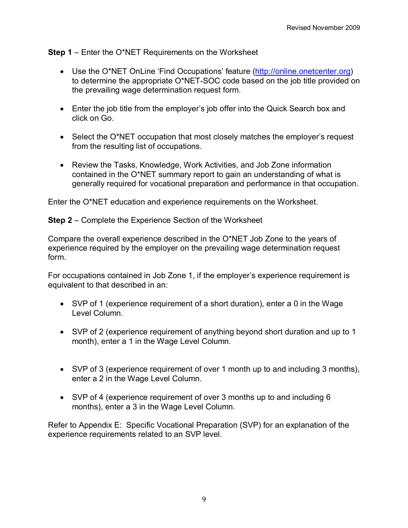## **Step 1** – Enter the O\*NET Requirements on the Worksheet

- Use the O\*NET OnLine 'Find Occupations' feature ([http://online.onetcenter.org](http://online.onetcenter.org/)) to determine the appropriate  $O^*NET-SOC$  code based on the job title provided on the prevailing wage determination request form.
- Enter the job title from the employer's job offer into the Quick Search box and click on Go.
- Select the O\*NET occupation that most closely matches the employer's request from the resulting list of occupations.
- · Review the Tasks, Knowledge, Work Activities, and Job Zone information contained in the O\*NET summary report to gain an understanding of what is generally required for vocational preparation and performance in that occupation.

Enter the O\*NET education and experience requirements on the Worksheet.

**Step 2** – Complete the Experience Section of the Worksheet

Compare the overall experience described in the O\*NET Job Zone to the years of experience required by the employer on the prevailing wage determination request form.

For occupations contained in Job Zone 1, if the employer's experience requirement is equivalent to that described in an:

- · SVP of 1 (experience requirement of a short duration), enter a 0 in the Wage Level Column.
- · SVP of 2 (experience requirement of anything beyond short duration and up to 1 month), enter a 1 in the Wage Level Column.
- · SVP of 3 (experience requirement of over 1 month up to and including 3 months), enter a 2 in the Wage Level Column.
- SVP of 4 (experience requirement of over 3 months up to and including 6 months), enter a 3 in the Wage Level Column.

Refer to Appendix E: Specific Vocational Preparation (SVP) for an explanation of the experience requirements related to an SVP level.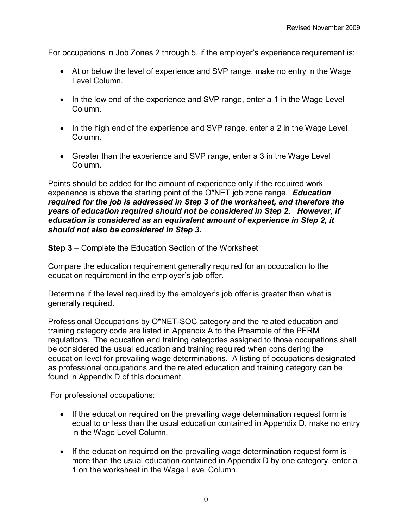For occupations in Job Zones 2 through 5, if the employer's experience requirement is:

- · At or below the level of experience and SVP range, make no entry in the Wage Level Column.
- In the low end of the experience and SVP range, enter a 1 in the Wage Level Column.
- In the high end of the experience and SVP range, enter a 2 in the Wage Level Column.
- · Greater than the experience and SVP range, enter a 3 in the Wage Level Column.

Points should be added for the amount of experience only if the required work experience is above the starting point of the O\*NET job zone range. *Education required for the job is addressed in Step 3 of the worksheet, and therefore the years of education required should not be considered in Step 2. However, if education is considered as an equivalent amount of experience in Step 2, it should not also be considered in Step 3.*

**Step 3** – Complete the Education Section of the Worksheet

Compare the education requirement generally required for an occupation to the education requirement in the employer's job offer.

Determine if the level required by the employer's job offer is greater than what is generally required.

Professional Occupations by O\*NET-SOC category and the related education and training category code are listed in Appendix A to the Preamble of the PERM regulations. The education and training categories assigned to those occupations shall be considered the usual education and training required when considering the education level for prevailing wage determinations. A listing of occupations designated as professional occupations and the related education and training category can be found in Appendix D of this document.

For professional occupations:

- · If the education required on the prevailing wage determination request form is equal to or less than the usual education contained in Appendix D, make no entry in the Wage Level Column.
- · If the education required on the prevailing wage determination request form is more than the usual education contained in Appendix D by one category, enter a 1 on the worksheet in the Wage Level Column.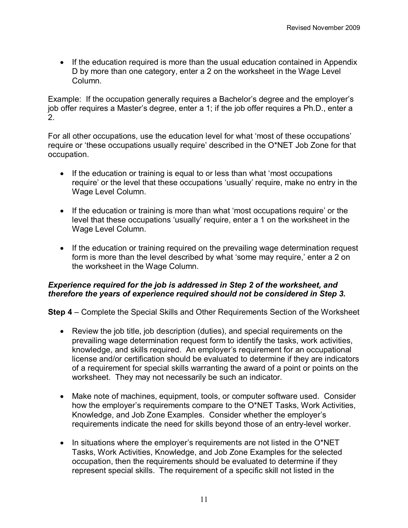· If the education required is more than the usual education contained in Appendix D by more than one category, enter a 2 on the worksheet in the Wage Level Column.

Example: If the occupation generally requires a Bachelor's degree and the employer's job offer requires a Master's degree, enter a 1; if the job offer requires a Ph.D., enter a 2.

For all other occupations, use the education level for what 'most of these occupations' require or 'these occupations usually require' described in the O\*NET Job Zone for that occupation.

- · If the education or training is equal to or less than what 'most occupations require' or the level that these occupations 'usually' require, make no entry in the Wage Level Column.
- · If the education or training is more than what 'most occupations require' or the level that these occupations 'usually' require, enter a 1 on the worksheet in the Wage Level Column.
- · If the education or training required on the prevailing wage determination request form is more than the level described by what 'some may require,' enter a 2 on the worksheet in the Wage Column.

## *Experience required for the job is addressed in Step 2 of the worksheet, and therefore the years of experience required should not be considered in Step 3.*

**Step 4** – Complete the Special Skills and Other Requirements Section of the Worksheet

- · Review the job title, job description (duties), and special requirements on the prevailing wage determination request form to identify the tasks, work activities, knowledge, and skills required. An employer's requirement for an occupational license and/or certification should be evaluated to determine if they are indicators of a requirement for special skills warranting the award of a point or points on the worksheet. They may not necessarily be such an indicator.
- · Make note of machines, equipment, tools, or computer software used. Consider how the employer's requirements compare to the O\*NET Tasks, Work Activities, Knowledge, and Job Zone Examples. Consider whether the employer's requirements indicate the need for skills beyond those of an entry-level worker.
- In situations where the employer's requirements are not listed in the O\*NET Tasks, Work Activities, Knowledge, and Job Zone Examples for the selected occupation, then the requirements should be evaluated to determine if they represent special skills. The requirement of a specific skill not listed in the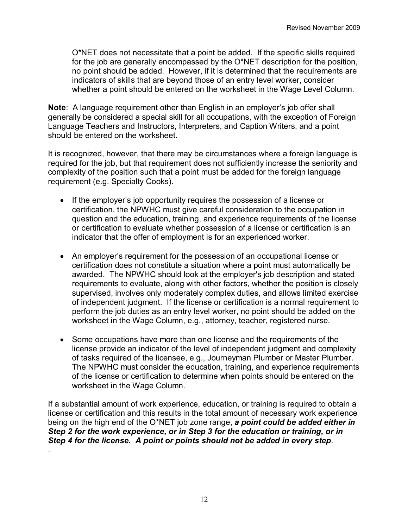O\*NET does not necessitate that a point be added. If the specific skills required for the job are generally encompassed by the O\*NET description for the position, no point should be added. However, if it is determined that the requirements are indicators of skills that are beyond those of an entry level worker, consider whether a point should be entered on the worksheet in the Wage Level Column.

**Note**: A language requirement other than English in an employer's job offer shall generally be considered a special skill for all occupations, with the exception of Foreign Language Teachers and Instructors, Interpreters, and Caption Writers, and a point should be entered on the worksheet.

It is recognized, however, that there may be circumstances where a foreign language is required for the job, but that requirement does not sufficiently increase the seniority and complexity of the position such that a point must be added for the foreign language requirement (e.g. Specialty Cooks).

- · If the employer's job opportunity requires the possession of a license or certification, the NPWHC must give careful consideration to the occupation in question and the education, training, and experience requirements of the license or certification to evaluate whether possession of a license or certification is an indicator that the offer of employment is for an experienced worker.
- · An employer's requirement for the possession of an occupational license or certification does not constitute a situation where a point must automatically be awarded. The NPWHC should look at the employer's job description and stated requirements to evaluate, along with other factors, whether the position is closely supervised, involves only moderately complex duties, and allows limited exercise of independent judgment. If the license or certification is a normal requirement to perform the job duties as an entry level worker, no point should be added on the worksheet in the Wage Column, e.g., attorney, teacher, registered nurse.
- · Some occupations have more than one license and the requirements of the license provide an indicator of the level of independent judgment and complexity of tasks required of the licensee, e.g., Journeyman Plumber or Master Plumber. The NPWHC must consider the education, training, and experience requirements of the license or certification to determine when points should be entered on the worksheet in the Wage Column.

If a substantial amount of work experience, education, or training is required to obtain a license or certification and this results in the total amount of necessary work experience being on the high end of the O\*NET job zone range, *a point could be added either in Step 2 for the work experience, or in Step 3 for the education or training, or in Step 4 for the license. A point or points should not be added in every step*.

.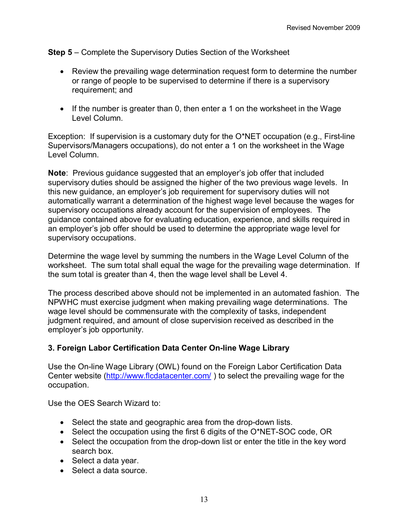## **Step 5** – Complete the Supervisory Duties Section of the Worksheet

- · Review the prevailing wage determination request form to determine the number or range of people to be supervised to determine if there is a supervisory requirement; and
- If the number is greater than 0, then enter a 1 on the worksheet in the Wage Level Column.

Exception: If supervision is a customary duty for the O\*NET occupation (e.g., First-line Supervisors/Managers occupations), do not enter a 1 on the worksheet in the Wage Level Column.

**Note**: Previous guidance suggested that an employer's job offer that included supervisory duties should be assigned the higher of the two previous wage levels. In this new guidance, an employer's job requirement for supervisory duties will not automatically warrant a determination of the highest wage level because the wages for supervisory occupations already account for the supervision of employees. The guidance contained above for evaluating education, experience, and skills required in an employer's job offer should be used to determine the appropriate wage level for supervisory occupations.

Determine the wage level by summing the numbers in the Wage Level Column of the worksheet. The sum total shall equal the wage for the prevailing wage determination. If the sum total is greater than 4, then the wage level shall be Level 4.

The process described above should not be implemented in an automated fashion. The NPWHC must exercise judgment when making prevailing wage determinations. The wage level should be commensurate with the complexity of tasks, independent judgment required, and amount of close supervision received as described in the employer's job opportunity.

### **3. Foreign Labor Certification Data Center On-line Wage Library**

Use the On-line Wage Library (OWL) found on the Foreign Labor Certification Data Center website [\(http://www.flcdatacenter.com/](http://www.flcdatacenter.com/) ) to select the prevailing wage for the occupation.

Use the OES Search Wizard to:

- $\bullet$  Select the state and geographic area from the drop-down lists.
- Select the occupation using the first  $6$  digits of the  $O*NET-SOC$  code, OR
- $\bullet$  Select the occupation from the drop-down list or enter the title in the key word search box.
- · Select a data year.
- · Select a data source.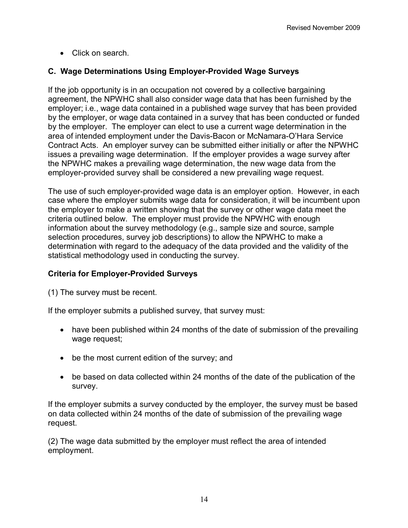• Click on search.

## **C. Wage Determinations Using Employer-Provided Wage Surveys**

If the job opportunity is in an occupation not covered by a collective bargaining agreement, the NPWHC shall also consider wage data that has been furnished by the employer; i.e*.*, wage data contained in a published wage survey that has been provided by the employer, or wage data contained in a survey that has been conducted or funded by the employer. The employer can elect to use a current wage determination in the area of intended employment under the Davis-Bacon or McNamara-O'Hara Service Contract Acts. An employer survey can be submitted either initially or after the NPWHC issues a prevailing wage determination. If the employer provides a wage survey after the NPWHC makes a prevailing wage determination, the new wage data from the employer-provided survey shall be considered a new prevailing wage request.

The use of such employer-provided wage data is an employer option. However, in each case where the employer submits wage data for consideration, it will be incumbent upon the employer to make a written showing that the survey or other wage data meet the criteria outlined below. The employer must provide the NPWHC with enough information about the survey methodology (e.g., sample size and source, sample selection procedures, survey job descriptions) to allow the NPWHC to make a determination with regard to the adequacy of the data provided and the validity of the statistical methodology used in conducting the survey.

## **Criteria for Employer-Provided Surveys**

(1) The survey must be recent.

If the employer submits a published survey, that survey must:

- have been published within 24 months of the date of submission of the prevailing wage request;
- be the most current edition of the survey; and
- · be based on data collected within 24 months of the date of the publication of the survey.

If the employer submits a survey conducted by the employer, the survey must be based on data collected within 24 months of the date of submission of the prevailing wage request.

(2) The wage data submitted by the employer must reflect the area of intended employment.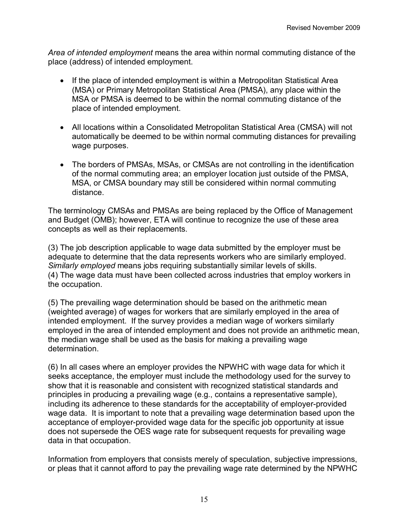*Area of intended employment* means the area within normal commuting distance of the place (address) of intended employment.

- If the place of intended employment is within a Metropolitan Statistical Area (MSA) or Primary Metropolitan Statistical Area (PMSA), any place within the MSA or PMSA is deemed to be within the normal commuting distance of the place of intended employment.
- · All locations within a Consolidated Metropolitan Statistical Area (CMSA) will not automatically be deemed to be within normal commuting distances for prevailing wage purposes.
- The borders of PMSAs, MSAs, or CMSAs are not controlling in the identification of the normal commuting area; an employer location just outside of the PMSA, MSA, or CMSA boundary may still be considered within normal commuting distance.

The terminology CMSAs and PMSAs are being replaced by the Office of Management and Budget (OMB); however, ETA will continue to recognize the use of these area concepts as well as their replacements.

(3) The job description applicable to wage data submitted by the employer must be adequate to determine that the data represents workers who are similarly employed. *Similarly employed* means jobs requiring substantially similar levels of skills. (4) The wage data must have been collected across industries that employ workers in the occupation.

(5) The prevailing wage determination should be based on the arithmetic mean (weighted average) of wages for workers that are similarly employed in the area of intended employment. If the survey provides a median wage of workers similarly employed in the area of intended employment and does not provide an arithmetic mean, the median wage shall be used as the basis for making a prevailing wage determination.

(6) In all cases where an employer provides the NPWHC with wage data for which it seeks acceptance, the employer must include the methodology used for the survey to show that it is reasonable and consistent with recognized statistical standards and principles in producing a prevailing wage (e.g*.*, contains a representative sample), including its adherence to these standards for the acceptability of employer-provided wage data. It is important to note that a prevailing wage determination based upon the acceptance of employer-provided wage data for the specific job opportunity at issue does not supersede the OES wage rate for subsequent requests for prevailing wage data in that occupation.

Information from employers that consists merely of speculation, subjective impressions, or pleas that it cannot afford to pay the prevailing wage rate determined by the NPWHC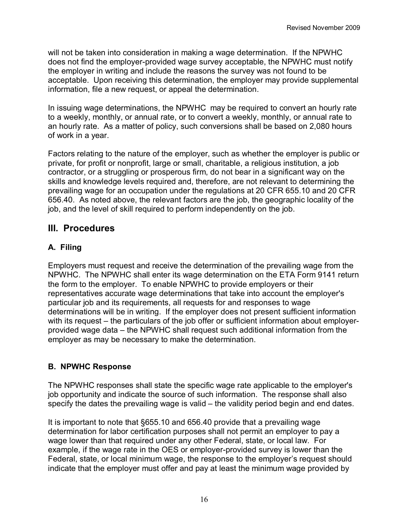will not be taken into consideration in making a wage determination. If the NPWHC does not find the employer-provided wage survey acceptable, the NPWHC must notify the employer in writing and include the reasons the survey was not found to be acceptable. Upon receiving this determination, the employer may provide supplemental information, file a new request, or appeal the determination.

In issuing wage determinations, the NPWHC may be required to convert an hourly rate to a weekly, monthly, or annual rate, or to convert a weekly, monthly, or annual rate to an hourly rate. As a matter of policy, such conversions shall be based on 2,080 hours of work in a year.

Factors relating to the nature of the employer, such as whether the employer is public or private, for profit or nonprofit, large or small, charitable, a religious institution, a job contractor, or a struggling or prosperous firm, do not bear in a significant way on the skills and knowledge levels required and, therefore, are not relevant to determining the prevailing wage for an occupation under the regulations at 20 CFR 655.10 and 20 CFR 656.40. As noted above, the relevant factors are the job, the geographic locality of the job, and the level of skill required to perform independently on the job.

# **III. Procedures**

# **A. Filing**

Employers must request and receive the determination of the prevailing wage from the NPWHC. The NPWHC shall enter its wage determination on the ETA Form 9141 return the form to the employer. To enable NPWHC to provide employers or their representatives accurate wage determinations that take into account the employer's particular job and its requirements, all requests for and responses to wage determinations will be in writing. If the employer does not present sufficient information with its request – the particulars of the job offer or sufficient information about employerprovided wage data – the NPWHC shall request such additional information from the employer as may be necessary to make the determination.

# **B. NPWHC Response**

The NPWHC responses shall state the specific wage rate applicable to the employer's job opportunity and indicate the source of such information. The response shall also specify the dates the prevailing wage is valid – the validity period begin and end dates.

It is important to note that §655.10 and 656.40 provide that a prevailing wage determination for labor certification purposes shall not permit an employer to pay a wage lower than that required under any other Federal, state, or local law. For example, if the wage rate in the OES or employer-provided survey is lower than the Federal, state, or local minimum wage, the response to the employer's request should indicate that the employer must offer and pay at least the minimum wage provided by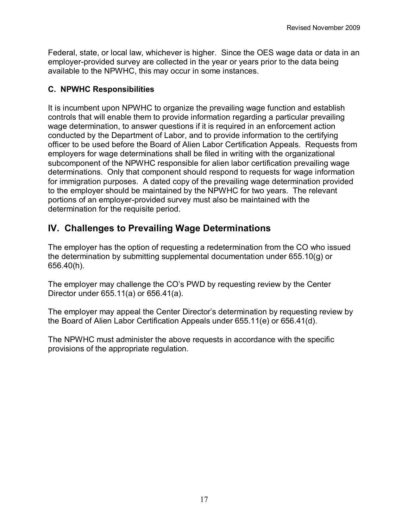Federal, state, or local law, whichever is higher. Since the OES wage data or data in an employer-provided survey are collected in the year or years prior to the data being available to the NPWHC, this may occur in some instances.

## **C. NPWHC Responsibilities**

It is incumbent upon NPWHC to organize the prevailing wage function and establish controls that will enable them to provide information regarding a particular prevailing wage determination, to answer questions if it is required in an enforcement action conducted by the Department of Labor, and to provide information to the certifying officer to be used before the Board of Alien Labor Certification Appeals. Requests from employers for wage determinations shall be filed in writing with the organizational subcomponent of the NPWHC responsible for alien labor certification prevailing wage determinations. Only that component should respond to requests for wage information for immigration purposes. A dated copy of the prevailing wage determination provided to the employer should be maintained by the NPWHC for two years. The relevant portions of an employer-provided survey must also be maintained with the determination for the requisite period.

# **IV. Challenges to Prevailing Wage Determinations**

The employer has the option of requesting a redetermination from the CO who issued the determination by submitting supplemental documentation under 655.10(g) or 656.40(h).

The employer may challenge the CO's PWD by requesting review by the Center Director under 655.11(a) or 656.41(a).

The employer may appeal the Center Director's determination by requesting review by the Board of Alien Labor Certification Appeals under 655.11(e) or 656.41(d).

The NPWHC must administer the above requests in accordance with the specific provisions of the appropriate regulation.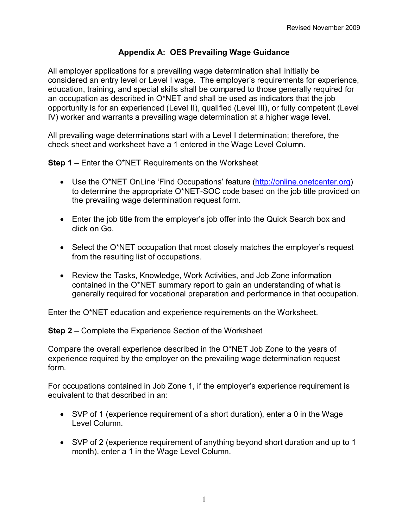## **Appendix A: OES Prevailing Wage Guidance**

All employer applications for a prevailing wage determination shall initially be considered an entry level or Level I wage. The employer's requirements for experience, education, training, and special skills shall be compared to those generally required for an occupation as described in O\*NET and shall be used as indicators that the job opportunity is for an experienced (Level II), qualified (Level III), or fully competent (Level IV) worker and warrants a prevailing wage determination at a higher wage level.

All prevailing wage determinations start with a Level I determination; therefore, the check sheet and worksheet have a 1 entered in the Wage Level Column.

**Step 1** – Enter the O\*NET Requirements on the Worksheet

- · Use the O\*NET OnLine 'Find Occupations' feature ([http://online.onetcenter.org](http://online.onetcenter.org/)) to determine the appropriate O\*NET-SOC code based on the job title provided on the prevailing wage determination request form.
- Enter the job title from the employer's job offer into the Quick Search box and click on Go.
- Select the O\*NET occupation that most closely matches the employer's request from the resulting list of occupations.
- · Review the Tasks, Knowledge, Work Activities, and Job Zone information contained in the O\*NET summary report to gain an understanding of what is generally required for vocational preparation and performance in that occupation.

Enter the O\*NET education and experience requirements on the Worksheet.

**Step 2** – Complete the Experience Section of the Worksheet

Compare the overall experience described in the O\*NET Job Zone to the years of experience required by the employer on the prevailing wage determination request form.

For occupations contained in Job Zone 1, if the employer's experience requirement is equivalent to that described in an:

- · SVP of 1 (experience requirement of a short duration), enter a 0 in the Wage Level Column.
- · SVP of 2 (experience requirement of anything beyond short duration and up to 1 month), enter a 1 in the Wage Level Column.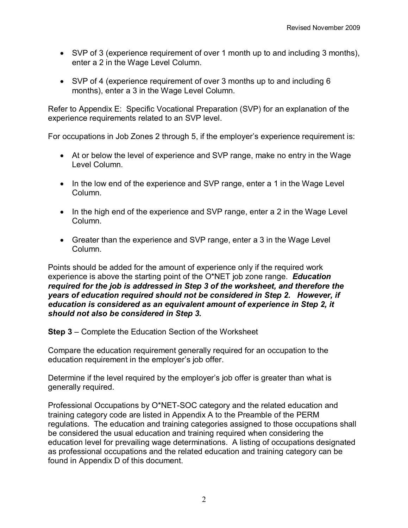- · SVP of 3 (experience requirement of over 1 month up to and including 3 months), enter a 2 in the Wage Level Column.
- SVP of 4 (experience requirement of over 3 months up to and including 6 months), enter a 3 in the Wage Level Column.

Refer to Appendix E: Specific Vocational Preparation (SVP) for an explanation of the experience requirements related to an SVP level.

For occupations in Job Zones 2 through 5, if the employer's experience requirement is:

- · At or below the level of experience and SVP range, make no entry in the Wage Level Column.
- In the low end of the experience and SVP range, enter a 1 in the Wage Level Column.
- In the high end of the experience and SVP range, enter a 2 in the Wage Level Column.
- · Greater than the experience and SVP range, enter a 3 in the Wage Level Column.

Points should be added for the amount of experience only if the required work experience is above the starting point of the O\*NET job zone range. *Education required for the job is addressed in Step 3 of the worksheet, and therefore the years of education required should not be considered in Step 2. However, if education is considered as an equivalent amount of experience in Step 2, it should not also be considered in Step 3.*

**Step 3** – Complete the Education Section of the Worksheet

Compare the education requirement generally required for an occupation to the education requirement in the employer's job offer.

Determine if the level required by the employer's job offer is greater than what is generally required.

Professional Occupations by O\*NET-SOC category and the related education and training category code are listed in Appendix A to the Preamble of the PERM regulations. The education and training categories assigned to those occupations shall be considered the usual education and training required when considering the education level for prevailing wage determinations. A listing of occupations designated as professional occupations and the related education and training category can be found in Appendix D of this document.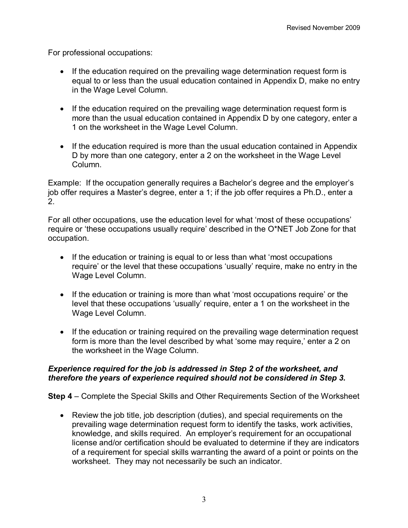For professional occupations:

- · If the education required on the prevailing wage determination request form is equal to or less than the usual education contained in Appendix D, make no entry in the Wage Level Column.
- · If the education required on the prevailing wage determination request form is more than the usual education contained in Appendix D by one category, enter a 1 on the worksheet in the Wage Level Column.
- · If the education required is more than the usual education contained in Appendix D by more than one category, enter a 2 on the worksheet in the Wage Level Column.

Example: If the occupation generally requires a Bachelor's degree and the employer's job offer requires a Master's degree, enter a 1; if the job offer requires a Ph.D., enter a 2.

For all other occupations, use the education level for what 'most of these occupations' require or 'these occupations usually require' described in the O\*NET Job Zone for that occupation.

- · If the education or training is equal to or less than what 'most occupations require' or the level that these occupations 'usually' require, make no entry in the Wage Level Column.
- · If the education or training is more than what 'most occupations require' or the level that these occupations 'usually' require, enter a 1 on the worksheet in the Wage Level Column.
- · If the education or training required on the prevailing wage determination request form is more than the level described by what 'some may require,' enter a 2 on the worksheet in the Wage Column.

## *Experience required for the job is addressed in Step 2 of the worksheet, and therefore the years of experience required should not be considered in Step 3.*

**Step 4** – Complete the Special Skills and Other Requirements Section of the Worksheet

· Review the job title, job description (duties), and special requirements on the prevailing wage determination request form to identify the tasks, work activities, knowledge, and skills required. An employer's requirement for an occupational license and/or certification should be evaluated to determine if they are indicators of a requirement for special skills warranting the award of a point or points on the worksheet. They may not necessarily be such an indicator.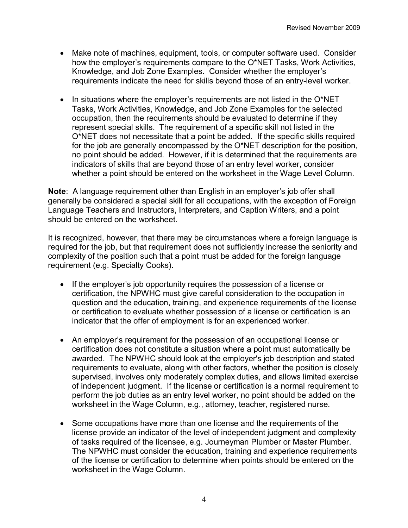- · Make note of machines, equipment, tools, or computer software used. Consider how the employer's requirements compare to the O\*NET Tasks, Work Activities, Knowledge, and Job Zone Examples. Consider whether the employer's requirements indicate the need for skills beyond those of an entry-level worker.
- In situations where the employer's requirements are not listed in the O\*NET Tasks, Work Activities, Knowledge, and Job Zone Examples for the selected occupation, then the requirements should be evaluated to determine if they represent special skills. The requirement of a specific skill not listed in the O\*NET does not necessitate that a point be added. If the specific skills required for the job are generally encompassed by the O\*NET description for the position, no point should be added. However, if it is determined that the requirements are indicators of skills that are beyond those of an entry level worker, consider whether a point should be entered on the worksheet in the Wage Level Column.

**Note**: A language requirement other than English in an employer's job offer shall generally be considered a special skill for all occupations, with the exception of Foreign Language Teachers and Instructors, Interpreters, and Caption Writers, and a point should be entered on the worksheet.

It is recognized, however, that there may be circumstances where a foreign language is required for the job, but that requirement does not sufficiently increase the seniority and complexity of the position such that a point must be added for the foreign language requirement (e.g. Specialty Cooks).

- · If the employer's job opportunity requires the possession of a license or certification, the NPWHC must give careful consideration to the occupation in question and the education, training, and experience requirements of the license or certification to evaluate whether possession of a license or certification is an indicator that the offer of employment is for an experienced worker.
- · An employer's requirement for the possession of an occupational license or certification does not constitute a situation where a point must automatically be awarded. The NPWHC should look at the employer's job description and stated requirements to evaluate, along with other factors, whether the position is closely supervised, involves only moderately complex duties, and allows limited exercise of independent judgment. If the license or certification is a normal requirement to perform the job duties as an entry level worker, no point should be added on the worksheet in the Wage Column, e.g., attorney, teacher, registered nurse.
- · Some occupations have more than one license and the requirements of the license provide an indicator of the level of independent judgment and complexity of tasks required of the licensee, e.g. Journeyman Plumber or Master Plumber. The NPWHC must consider the education, training and experience requirements of the license or certification to determine when points should be entered on the worksheet in the Wage Column.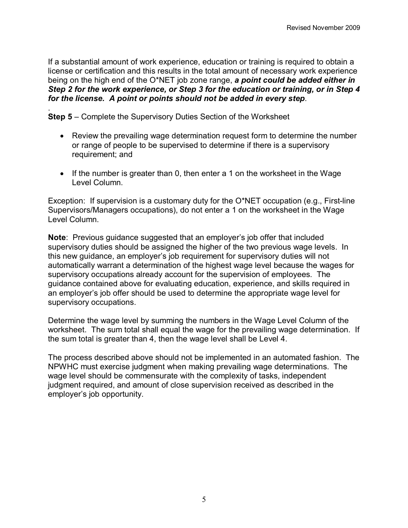If a substantial amount of work experience, education or training is required to obtain a license or certification and this results in the total amount of necessary work experience being on the high end of the O\*NET job zone range, *a point could be added either in Step 2 for the work experience, or Step 3 for the education or training, or in Step 4 for the license. A point or points should not be added in every step*.

.**Step 5** – Complete the Supervisory Duties Section of the Worksheet

- · Review the prevailing wage determination request form to determine the number or range of people to be supervised to determine if there is a supervisory requirement; and
- · If the number is greater than 0, then enter a 1 on the worksheet in the Wage Level Column.

Exception: If supervision is a customary duty for the O\*NET occupation (e.g., First-line Supervisors/Managers occupations), do not enter a 1 on the worksheet in the Wage Level Column.

**Note**: Previous guidance suggested that an employer's job offer that included supervisory duties should be assigned the higher of the two previous wage levels. In this new guidance, an employer's job requirement for supervisory duties will not automatically warrant a determination of the highest wage level because the wages for supervisory occupations already account for the supervision of employees. The guidance contained above for evaluating education, experience, and skills required in an employer's job offer should be used to determine the appropriate wage level for supervisory occupations.

Determine the wage level by summing the numbers in the Wage Level Column of the worksheet. The sum total shall equal the wage for the prevailing wage determination. If the sum total is greater than 4, then the wage level shall be Level 4.

The process described above should not be implemented in an automated fashion. The NPWHC must exercise judgment when making prevailing wage determinations. The wage level should be commensurate with the complexity of tasks, independent judgment required, and amount of close supervision received as described in the employer's job opportunity.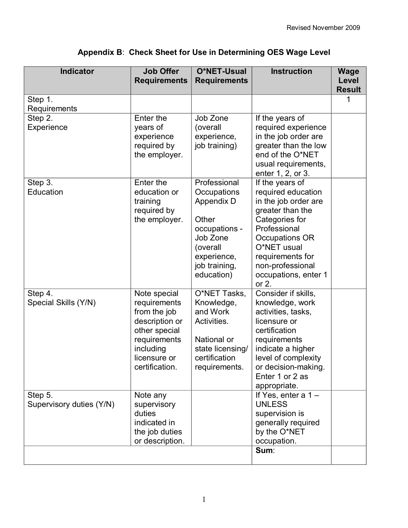| <b>Indicator</b>                    | <b>Job Offer</b><br><b>Requirements</b>                                                                                                        | O*NET-Usual<br><b>Requirements</b>                                                                                                        | <b>Instruction</b>                                                                                                                                                                                                            | <b>Wage</b><br>Level |
|-------------------------------------|------------------------------------------------------------------------------------------------------------------------------------------------|-------------------------------------------------------------------------------------------------------------------------------------------|-------------------------------------------------------------------------------------------------------------------------------------------------------------------------------------------------------------------------------|----------------------|
|                                     |                                                                                                                                                |                                                                                                                                           |                                                                                                                                                                                                                               | <b>Result</b>        |
| Step 1.<br>Requirements             |                                                                                                                                                |                                                                                                                                           |                                                                                                                                                                                                                               | 1                    |
| Step 2.<br>Experience               | Enter the<br>years of<br>experience<br>required by<br>the employer.                                                                            | Job Zone<br>(overall<br>experience,<br>job training)                                                                                      | If the years of<br>required experience<br>in the job order are<br>greater than the low<br>end of the O*NET<br>usual requirements,<br>enter 1, 2, or 3.                                                                        |                      |
| Step 3.<br>Education                | Enter the<br>education or<br>training<br>required by<br>the employer.                                                                          | Professional<br>Occupations<br>Appendix D<br>Other<br>occupations -<br>Job Zone<br>(overall<br>experience,<br>job training,<br>education) | If the years of<br>required education<br>in the job order are<br>greater than the<br>Categories for<br>Professional<br>Occupations OR<br>O*NET usual<br>requirements for<br>non-professional<br>occupations, enter 1<br>or 2. |                      |
| Step 4.<br>Special Skills (Y/N)     | Note special<br>requirements<br>from the job<br>description or<br>other special<br>requirements<br>including<br>licensure or<br>certification. | O*NET Tasks,<br>Knowledge,<br>and Work<br>Activities.<br>National or<br>state licensing/<br>certification<br>requirements.                | Consider if skills,<br>knowledge, work<br>activities, tasks,<br>licensure or<br>certification<br>requirements<br>indicate a higher<br>level of complexity<br>or decision-making.<br>Enter 1 or 2 as<br>appropriate.           |                      |
| Step 5.<br>Supervisory duties (Y/N) | Note any<br>supervisory<br>duties<br>indicated in<br>the job duties<br>or description.                                                         |                                                                                                                                           | If Yes, enter a 1 -<br><b>UNLESS</b><br>supervision is<br>generally required<br>by the O*NET<br>occupation.<br>Sum:                                                                                                           |                      |
|                                     |                                                                                                                                                |                                                                                                                                           |                                                                                                                                                                                                                               |                      |

# **Appendix B**: **Check Sheet for Use in Determining OES Wage Level**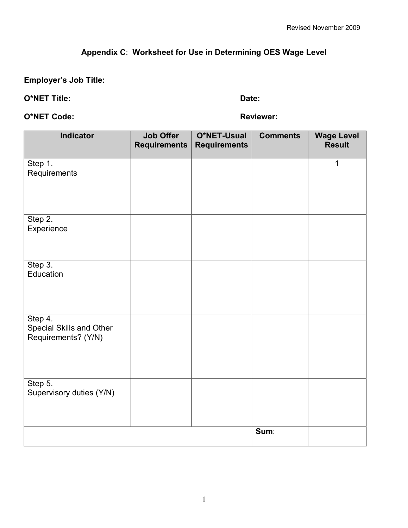# **Appendix C**: **Worksheet for Use in Determining OES Wage Level**

**Employer's Job Title:**

**O\*NET Title: Date:**

# **O\*NET Code: Reviewer:**

| <b>Indicator</b>                                           | Job Offer<br><b>Requirements</b> | O*NET-Usual<br><b>Requirements</b> | <b>Comments</b> | <b>Wage Level</b><br><b>Result</b> |
|------------------------------------------------------------|----------------------------------|------------------------------------|-----------------|------------------------------------|
| Step 1.<br>Requirements                                    |                                  |                                    |                 | 1                                  |
| Step 2.<br>Experience                                      |                                  |                                    |                 |                                    |
| Step 3.<br>Education                                       |                                  |                                    |                 |                                    |
| Step 4.<br>Special Skills and Other<br>Requirements? (Y/N) |                                  |                                    |                 |                                    |
| Step 5.<br>Supervisory duties (Y/N)                        |                                  |                                    |                 |                                    |
|                                                            |                                  |                                    | Sum:            |                                    |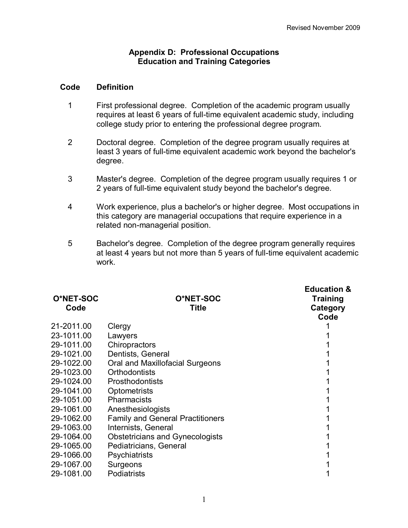## **Appendix D: Professional Occupations Education and Training Categories**

## **Code Definition**

- 1 First professional degree. Completion of the academic program usually requires at least 6 years of full-time equivalent academic study, including college study prior to entering the professional degree program.
- 2 Doctoral degree. Completion of the degree program usually requires at least 3 years of full-time equivalent academic work beyond the bachelor's degree.
- 3 Master's degree. Completion of the degree program usually requires 1 or 2 years of full-time equivalent study beyond the bachelor's degree.
- 4 Work experience, plus a bachelor's or higher degree. Most occupations in this category are managerial occupations that require experience in a related non-managerial position.
- 5 Bachelor's degree. Completion of the degree program generally requires at least 4 years but not more than 5 years of full-time equivalent academic work.

| O*NET-SOC<br>Code | O*NET-SOC<br><b>Title</b>               | <b>Education &amp;</b><br><b>Training</b><br>Category<br>Code |
|-------------------|-----------------------------------------|---------------------------------------------------------------|
| 21-2011.00        | Clergy                                  |                                                               |
| 23-1011.00        | Lawyers                                 |                                                               |
| 29-1011.00        | Chiropractors                           |                                                               |
| 29-1021.00        | Dentists, General                       |                                                               |
| 29-1022.00        | Oral and Maxillofacial Surgeons         |                                                               |
| 29-1023.00        | Orthodontists                           |                                                               |
| 29-1024.00        | Prosthodontists                         |                                                               |
| 29-1041.00        | Optometrists                            |                                                               |
| 29-1051.00        | <b>Pharmacists</b>                      |                                                               |
| 29-1061.00        | Anesthesiologists                       |                                                               |
| 29-1062.00        | <b>Family and General Practitioners</b> |                                                               |
| 29-1063.00        | Internists, General                     |                                                               |
| 29-1064.00        | <b>Obstetricians and Gynecologists</b>  |                                                               |
| 29-1065.00        | Pediatricians, General                  |                                                               |
| 29-1066.00        | <b>Psychiatrists</b>                    |                                                               |
| 29-1067.00        | Surgeons                                |                                                               |
| 29-1081.00        | Podiatrists                             |                                                               |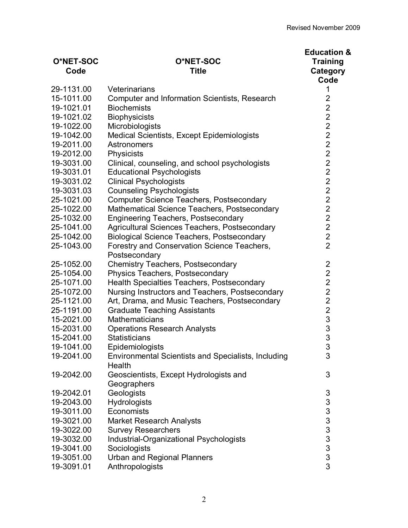| O*NET-SOC<br>Code | O*NET-SOC<br><b>Title</b>                                     | <b>Education &amp;</b><br><b>Training</b><br>Category<br>Code |
|-------------------|---------------------------------------------------------------|---------------------------------------------------------------|
| 29-1131.00        | Veterinarians                                                 |                                                               |
| 15-1011.00        | <b>Computer and Information Scientists, Research</b>          | $\overline{2}$                                                |
| 19-1021.01        | <b>Biochemists</b>                                            | $\overline{2}$                                                |
| 19-1021.02        | <b>Biophysicists</b>                                          | $\overline{2}$                                                |
| 19-1022.00        | Microbiologists                                               | $\overline{2}$                                                |
| 19-1042.00        | Medical Scientists, Except Epidemiologists                    | $\overline{2}$                                                |
| 19-2011.00        | Astronomers                                                   | $\overline{2}$                                                |
| 19-2012.00        | <b>Physicists</b>                                             | $\overline{2}$                                                |
| 19-3031.00        | Clinical, counseling, and school psychologists                | $\overline{2}$                                                |
| 19-3031.01        | <b>Educational Psychologists</b>                              | $\overline{2}$                                                |
| 19-3031.02        | <b>Clinical Psychologists</b>                                 |                                                               |
| 19-3031.03        | <b>Counseling Psychologists</b>                               | $\frac{2}{2}$                                                 |
| 25-1021.00        | Computer Science Teachers, Postsecondary                      | $\overline{2}$                                                |
| 25-1022.00        | Mathematical Science Teachers, Postsecondary                  | $\overline{2}$                                                |
| 25-1032.00        | <b>Engineering Teachers, Postsecondary</b>                    | $\overline{2}$                                                |
| 25-1041.00        | Agricultural Sciences Teachers, Postsecondary                 | $\overline{\mathbf{c}}$                                       |
| 25-1042.00        | <b>Biological Science Teachers, Postsecondary</b>             |                                                               |
| 25-1043.00        | Forestry and Conservation Science Teachers,                   | $\frac{2}{2}$                                                 |
|                   | Postsecondary                                                 |                                                               |
| 25-1052.00        | <b>Chemistry Teachers, Postsecondary</b>                      | $\overline{2}$                                                |
| 25-1054.00        | Physics Teachers, Postsecondary                               | $\overline{c}$                                                |
| 25-1071.00        | <b>Health Specialties Teachers, Postsecondary</b>             | $\overline{2}$                                                |
| 25-1072.00        | Nursing Instructors and Teachers, Postsecondary               | $\overline{c}$                                                |
| 25-1121.00        | Art, Drama, and Music Teachers, Postsecondary                 | $\overline{2}$                                                |
| 25-1191.00        | <b>Graduate Teaching Assistants</b>                           | $\overline{2}$                                                |
| 15-2021.00        | <b>Mathematicians</b>                                         | 3                                                             |
| 15-2031.00        | <b>Operations Research Analysts</b>                           | $\frac{3}{3}$                                                 |
| 15-2041.00        | <b>Statisticians</b>                                          |                                                               |
| 19-1041.00        | Epidemiologists                                               | 3                                                             |
| 19-2041.00        | Environmental Scientists and Specialists, Including<br>Health | 3                                                             |
| 19-2042.00        | Geoscientists, Except Hydrologists and                        | 3                                                             |
|                   | Geographers                                                   |                                                               |
| 19-2042.01        | Geologists                                                    | 3                                                             |
| 19-2043.00        | <b>Hydrologists</b>                                           | 3                                                             |
| 19-3011.00        | Economists                                                    | 3                                                             |
| 19-3021.00        | <b>Market Research Analysts</b>                               | $\frac{3}{3}$                                                 |
| 19-3022.00        | <b>Survey Researchers</b>                                     |                                                               |
| 19-3032.00        | <b>Industrial-Organizational Psychologists</b>                | 3                                                             |
| 19-3041.00        | Sociologists                                                  | 3                                                             |
| 19-3051.00        | <b>Urban and Regional Planners</b>                            | $\frac{3}{3}$                                                 |
| 19-3091.01        | Anthropologists                                               |                                                               |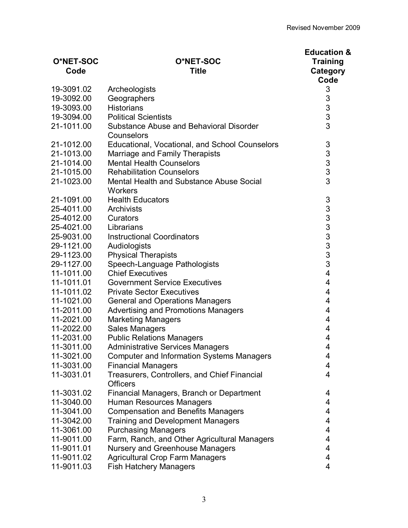| O*NET-SOC<br>Code | O*NET-SOC<br><b>Title</b>                                       | <b>Education &amp;</b><br><b>Training</b><br>Category<br>Code |
|-------------------|-----------------------------------------------------------------|---------------------------------------------------------------|
| 19-3091.02        | Archeologists                                                   | 3                                                             |
| 19-3092.00        | Geographers                                                     | 3                                                             |
| 19-3093.00        | <b>Historians</b>                                               | 3                                                             |
| 19-3094.00        | <b>Political Scientists</b>                                     | 3                                                             |
| 21-1011.00        | <b>Substance Abuse and Behavioral Disorder</b><br>Counselors    | 3                                                             |
| 21-1012.00        | Educational, Vocational, and School Counselors                  | 3                                                             |
| 21-1013.00        | Marriage and Family Therapists                                  | 3                                                             |
| 21-1014.00        | <b>Mental Health Counselors</b>                                 | 3                                                             |
| 21-1015.00        | <b>Rehabilitation Counselors</b>                                | 3                                                             |
| 21-1023.00        | Mental Health and Substance Abuse Social<br><b>Workers</b>      | 3                                                             |
| 21-1091.00        | <b>Health Educators</b>                                         | 3                                                             |
| 25-4011.00        | Archivists                                                      | 3                                                             |
| 25-4012.00        | Curators                                                        | 3                                                             |
| 25-4021.00        | Librarians                                                      | 3                                                             |
| 25-9031.00        | <b>Instructional Coordinators</b>                               | $\frac{3}{3}$                                                 |
| 29-1121.00        | Audiologists                                                    |                                                               |
| 29-1123.00        | <b>Physical Therapists</b>                                      | 3                                                             |
| 29-1127.00        | Speech-Language Pathologists                                    | 3                                                             |
| 11-1011.00        | <b>Chief Executives</b>                                         | 4                                                             |
| 11-1011.01        | <b>Government Service Executives</b>                            | $\overline{\mathbf{4}}$                                       |
| 11-1011.02        | <b>Private Sector Executives</b>                                | 4                                                             |
| 11-1021.00        | <b>General and Operations Managers</b>                          | 4                                                             |
| 11-2011.00        | <b>Advertising and Promotions Managers</b>                      | 4                                                             |
| 11-2021.00        | <b>Marketing Managers</b>                                       | 4                                                             |
| 11-2022.00        | <b>Sales Managers</b>                                           | 4                                                             |
| 11-2031.00        | <b>Public Relations Managers</b>                                | 4                                                             |
| 11-3011.00        | <b>Administrative Services Managers</b>                         | 4                                                             |
| 11-3021.00        | <b>Computer and Information Systems Managers</b>                | 4                                                             |
| 11-3031.00        | <b>Financial Managers</b>                                       | 4                                                             |
| 11-3031.01        | Treasurers, Controllers, and Chief Financial<br><b>Officers</b> | 4                                                             |
| 11-3031.02        | Financial Managers, Branch or Department                        | 4                                                             |
| 11-3040.00        | <b>Human Resources Managers</b>                                 | 4                                                             |
| 11-3041.00        | <b>Compensation and Benefits Managers</b>                       | 4                                                             |
| 11-3042.00        | <b>Training and Development Managers</b>                        | 4                                                             |
| 11-3061.00        | <b>Purchasing Managers</b>                                      | 4                                                             |
| 11-9011.00        | Farm, Ranch, and Other Agricultural Managers                    | 4                                                             |
| 11-9011.01        | <b>Nursery and Greenhouse Managers</b>                          | 4                                                             |
| 11-9011.02        | <b>Agricultural Crop Farm Managers</b>                          | 4                                                             |
| 11-9011.03        | <b>Fish Hatchery Managers</b>                                   | 4                                                             |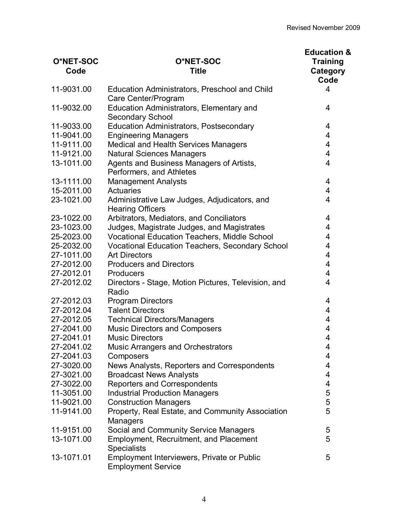| O*NET-SOC<br>Code | O*NET-SOC<br><b>Title</b>                                                   | <b>Education &amp;</b><br><b>Training</b><br>Category<br>Code |
|-------------------|-----------------------------------------------------------------------------|---------------------------------------------------------------|
| 11-9031.00        | <b>Education Administrators, Preschool and Child</b><br>Care Center/Program | 4                                                             |
| 11-9032.00        | Education Administrators, Elementary and<br><b>Secondary School</b>         | $\overline{4}$                                                |
| 11-9033.00        | <b>Education Administrators, Postsecondary</b>                              | 4                                                             |
| 11-9041.00        | <b>Engineering Managers</b>                                                 | 4                                                             |
| 11-9111.00        | Medical and Health Services Managers                                        | 4                                                             |
| 11-9121.00        | <b>Natural Sciences Managers</b>                                            | 4                                                             |
| 13-1011.00        | Agents and Business Managers of Artists,<br>Performers, and Athletes        | $\overline{\mathbf{4}}$                                       |
| 13-1111.00        | <b>Management Analysts</b>                                                  | 4                                                             |
| 15-2011.00        | Actuaries                                                                   | 4                                                             |
| 23-1021.00        | Administrative Law Judges, Adjudicators, and<br><b>Hearing Officers</b>     | $\overline{4}$                                                |
| 23-1022.00        | Arbitrators, Mediators, and Conciliators                                    | 4                                                             |
| 23-1023.00        | Judges, Magistrate Judges, and Magistrates                                  | 4                                                             |
| 25-2023.00        | <b>Vocational Education Teachers, Middle School</b>                         | 4                                                             |
| 25-2032.00        | <b>Vocational Education Teachers, Secondary School</b>                      | 4                                                             |
| 27-1011.00        | <b>Art Directors</b>                                                        | 4                                                             |
| 27-2012.00        | <b>Producers and Directors</b>                                              | $\overline{\mathbf{4}}$                                       |
| 27-2012.01        | Producers                                                                   | 4                                                             |
| 27-2012.02        | Directors - Stage, Motion Pictures, Television, and<br>Radio                | $\overline{4}$                                                |
| 27-2012.03        | <b>Program Directors</b>                                                    | 4                                                             |
| 27-2012.04        | <b>Talent Directors</b>                                                     | 4                                                             |
| 27-2012.05        | <b>Technical Directors/Managers</b>                                         | 4                                                             |
| 27-2041.00        | <b>Music Directors and Composers</b>                                        | 4                                                             |
| 27-2041.01        | <b>Music Directors</b>                                                      | 4                                                             |
| 27-2041.02        | <b>Music Arrangers and Orchestrators</b>                                    | 4                                                             |
| 27-2041.03        | Composers                                                                   | 4                                                             |
| 27-3020.00        | News Analysts, Reporters and Correspondents                                 | 4                                                             |
| 27-3021.00        | <b>Broadcast News Analysts</b>                                              | 4                                                             |
| 27-3022.00        | <b>Reporters and Correspondents</b>                                         | 4                                                             |
| 11-3051.00        | <b>Industrial Production Managers</b>                                       | 5                                                             |
| 11-9021.00        | <b>Construction Managers</b>                                                | 5                                                             |
| 11-9141.00        | Property, Real Estate, and Community Association<br><b>Managers</b>         | 5                                                             |
| 11-9151.00        | Social and Community Service Managers                                       | 5                                                             |
| 13-1071.00        | <b>Employment, Recruitment, and Placement</b>                               | 5                                                             |
| 13-1071.01        | <b>Specialists</b><br><b>Employment Interviewers, Private or Public</b>     | 5                                                             |
|                   | <b>Employment Service</b>                                                   |                                                               |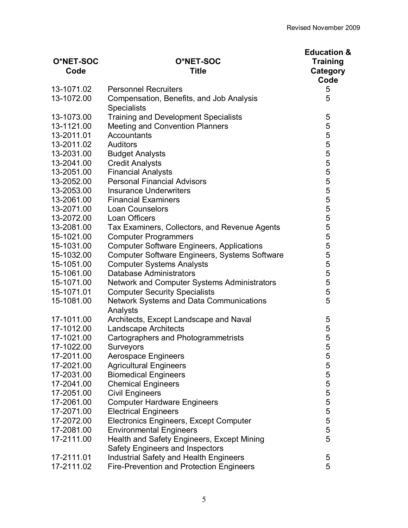| O*NET-SOC<br>Code | O*NET-SOC<br><b>Title</b>                                                     | <b>Education &amp;</b><br><b>Training</b><br>Category<br>Code |
|-------------------|-------------------------------------------------------------------------------|---------------------------------------------------------------|
| 13-1071.02        | <b>Personnel Recruiters</b>                                                   | 5                                                             |
| 13-1072.00        | Compensation, Benefits, and Job Analysis<br><b>Specialists</b>                | 5                                                             |
| 13-1073.00        | <b>Training and Development Specialists</b>                                   | 5                                                             |
| 13-1121.00        | <b>Meeting and Convention Planners</b>                                        | 5                                                             |
| 13-2011.01        | <b>Accountants</b>                                                            | 5                                                             |
| 13-2011.02        | <b>Auditors</b>                                                               | 5                                                             |
| 13-2031.00        | <b>Budget Analysts</b>                                                        | 5                                                             |
| 13-2041.00        | <b>Credit Analysts</b>                                                        | 5                                                             |
| 13-2051.00        | <b>Financial Analysts</b>                                                     | 5                                                             |
| 13-2052.00        | <b>Personal Financial Advisors</b>                                            | 5                                                             |
| 13-2053.00        | <b>Insurance Underwriters</b>                                                 | 5                                                             |
| 13-2061.00        | <b>Financial Examiners</b>                                                    | 5                                                             |
| 13-2071.00        | <b>Loan Counselors</b>                                                        | 5                                                             |
| 13-2072.00        | Loan Officers                                                                 | 5                                                             |
| 13-2081.00        | Tax Examiners, Collectors, and Revenue Agents                                 | 5                                                             |
| 15-1021.00        | <b>Computer Programmers</b>                                                   | 5                                                             |
| 15-1031.00        | <b>Computer Software Engineers, Applications</b>                              | 5                                                             |
| 15-1032.00        | Computer Software Engineers, Systems Software                                 | 5                                                             |
| 15-1051.00        | <b>Computer Systems Analysts</b>                                              | 5                                                             |
| 15-1061.00        | <b>Database Administrators</b>                                                | 5                                                             |
| 15-1071.00        | <b>Network and Computer Systems Administrators</b>                            | 5                                                             |
| 15-1071.01        | <b>Computer Security Specialists</b>                                          | 5                                                             |
| 15-1081.00        | Network Systems and Data Communications<br>Analysts                           | 5                                                             |
| 17-1011.00        | Architects, Except Landscape and Naval                                        | 5                                                             |
| 17-1012.00        | Landscape Architects                                                          | 5                                                             |
| 17-1021.00        | Cartographers and Photogrammetrists                                           | 5                                                             |
| 17-1022.00        | Surveyors                                                                     | 5                                                             |
| 17-2011.00        | <b>Aerospace Engineers</b>                                                    | 5                                                             |
| 17-2021.00        | <b>Agricultural Engineers</b>                                                 | 5                                                             |
| 17-2031.00        | <b>Biomedical Engineers</b>                                                   | 5                                                             |
| 17-2041.00        | <b>Chemical Engineers</b>                                                     | 5                                                             |
| 17-2051.00        | <b>Civil Engineers</b>                                                        | 5                                                             |
| 17-2061.00        | <b>Computer Hardware Engineers</b>                                            | 5                                                             |
| 17-2071.00        | <b>Electrical Engineers</b>                                                   | 5                                                             |
| 17-2072.00        | Electronics Engineers, Except Computer                                        | 5                                                             |
| 17-2081.00        | <b>Environmental Engineers</b>                                                | 5                                                             |
| 17-2111.00        | Health and Safety Engineers, Except Mining<br>Safety Engineers and Inspectors | 5                                                             |
| 17-2111.01        | <b>Industrial Safety and Health Engineers</b>                                 | 5                                                             |
| 17-2111.02        | <b>Fire-Prevention and Protection Engineers</b>                               | 5                                                             |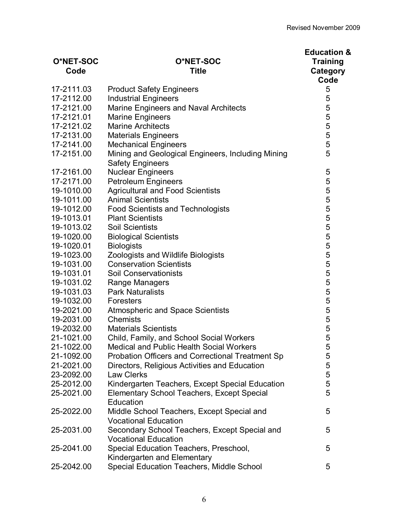| O*NET-SOC<br>Code | O*NET-SOC<br><b>Title</b>                                                    | <b>Education &amp;</b><br><b>Training</b><br>Category<br>Code |
|-------------------|------------------------------------------------------------------------------|---------------------------------------------------------------|
| 17-2111.03        | <b>Product Safety Engineers</b>                                              | 5                                                             |
| 17-2112.00        | <b>Industrial Engineers</b>                                                  | 5                                                             |
| 17-2121.00        | Marine Engineers and Naval Architects                                        | 5                                                             |
| 17-2121.01        | <b>Marine Engineers</b>                                                      | 5                                                             |
| 17-2121.02        | <b>Marine Architects</b>                                                     | 5                                                             |
| 17-2131.00        | <b>Materials Engineers</b>                                                   | 5                                                             |
| 17-2141.00        | <b>Mechanical Engineers</b>                                                  | 5                                                             |
| 17-2151.00        | Mining and Geological Engineers, Including Mining<br><b>Safety Engineers</b> | 5                                                             |
| 17-2161.00        | <b>Nuclear Engineers</b>                                                     | 5                                                             |
| 17-2171.00        | <b>Petroleum Engineers</b>                                                   | 5                                                             |
| 19-1010.00        | <b>Agricultural and Food Scientists</b>                                      | 5                                                             |
| 19-1011.00        | <b>Animal Scientists</b>                                                     | 5                                                             |
| 19-1012.00        | <b>Food Scientists and Technologists</b>                                     | 5                                                             |
| 19-1013.01        | <b>Plant Scientists</b>                                                      | 5                                                             |
| 19-1013.02        | <b>Soil Scientists</b>                                                       | 5                                                             |
| 19-1020.00        | <b>Biological Scientists</b>                                                 | 5                                                             |
| 19-1020.01        | <b>Biologists</b>                                                            | 5                                                             |
| 19-1023.00        | Zoologists and Wildlife Biologists                                           | 5                                                             |
| 19-1031.00        | <b>Conservation Scientists</b>                                               | 5                                                             |
| 19-1031.01        | Soil Conservationists                                                        | 5                                                             |
| 19-1031.02        | Range Managers                                                               | 5                                                             |
| 19-1031.03        | <b>Park Naturalists</b>                                                      | 5                                                             |
| 19-1032.00        | <b>Foresters</b>                                                             | 5                                                             |
| 19-2021.00        | <b>Atmospheric and Space Scientists</b>                                      | 5                                                             |
| 19-2031.00        | <b>Chemists</b>                                                              | 5                                                             |
| 19-2032.00        | <b>Materials Scientists</b>                                                  | 5                                                             |
| 21-1021.00        | Child, Family, and School Social Workers                                     | 5                                                             |
| 21-1022.00        | Medical and Public Health Social Workers                                     | 5                                                             |
| 21-1092.00        | Probation Officers and Correctional Treatment Sp                             | 5                                                             |
| 21-2021.00        | Directors, Religious Activities and Education                                | 5                                                             |
| 23-2092.00        | <b>Law Clerks</b>                                                            | 5                                                             |
| 25-2012.00        | Kindergarten Teachers, Except Special Education                              | 5                                                             |
| 25-2021.00        | <b>Elementary School Teachers, Except Special</b><br>Education               | 5                                                             |
| 25-2022.00        | Middle School Teachers, Except Special and<br><b>Vocational Education</b>    | 5                                                             |
| 25-2031.00        | Secondary School Teachers, Except Special and<br><b>Vocational Education</b> | 5                                                             |
| 25-2041.00        | Special Education Teachers, Preschool,<br>Kindergarten and Elementary        | 5                                                             |
| 25-2042.00        | Special Education Teachers, Middle School                                    | 5                                                             |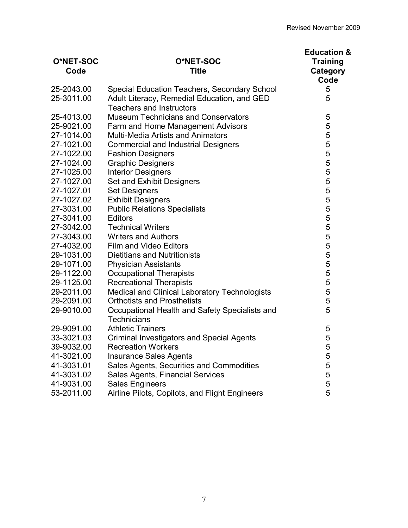| O*NET-SOC<br>Code | O*NET-SOC<br><b>Title</b>                                                      | <b>Education &amp;</b><br><b>Training</b><br>Category<br>Code |
|-------------------|--------------------------------------------------------------------------------|---------------------------------------------------------------|
| 25-2043.00        | Special Education Teachers, Secondary School                                   | 5                                                             |
| 25-3011.00        | Adult Literacy, Remedial Education, and GED<br><b>Teachers and Instructors</b> | 5                                                             |
| 25-4013.00        | <b>Museum Technicians and Conservators</b>                                     | 5                                                             |
| 25-9021.00        | Farm and Home Management Advisors                                              | 5                                                             |
| 27-1014.00        | <b>Multi-Media Artists and Animators</b>                                       | 5                                                             |
| 27-1021.00        | <b>Commercial and Industrial Designers</b>                                     | 5                                                             |
| 27-1022.00        | <b>Fashion Designers</b>                                                       | 5                                                             |
| 27-1024.00        | <b>Graphic Designers</b>                                                       | 5                                                             |
| 27-1025.00        | <b>Interior Designers</b>                                                      | 5                                                             |
| 27-1027.00        | Set and Exhibit Designers                                                      | 5                                                             |
| 27-1027.01        | <b>Set Designers</b>                                                           | 5                                                             |
| 27-1027.02        | <b>Exhibit Designers</b>                                                       | 5                                                             |
| 27-3031.00        | <b>Public Relations Specialists</b>                                            | 5                                                             |
| 27-3041.00        | <b>Editors</b>                                                                 | 5                                                             |
| 27-3042.00        | <b>Technical Writers</b>                                                       | 5                                                             |
| 27-3043.00        | <b>Writers and Authors</b>                                                     | 5                                                             |
| 27-4032.00        | <b>Film and Video Editors</b>                                                  | 5                                                             |
| 29-1031.00        | <b>Dietitians and Nutritionists</b>                                            | 5                                                             |
| 29-1071.00        | <b>Physician Assistants</b>                                                    | 5                                                             |
| 29-1122.00        | <b>Occupational Therapists</b>                                                 | 5                                                             |
| 29-1125.00        | <b>Recreational Therapists</b>                                                 | 5                                                             |
| 29-2011.00        | <b>Medical and Clinical Laboratory Technologists</b>                           | 5                                                             |
| 29-2091.00        | <b>Orthotists and Prosthetists</b>                                             | 5                                                             |
| 29-9010.00        | Occupational Health and Safety Specialists and<br><b>Technicians</b>           | 5                                                             |
| 29-9091.00        | <b>Athletic Trainers</b>                                                       | 5                                                             |
| 33-3021.03        | <b>Criminal Investigators and Special Agents</b>                               | 5                                                             |
| 39-9032.00        | <b>Recreation Workers</b>                                                      | 5                                                             |
| 41-3021.00        | <b>Insurance Sales Agents</b>                                                  | 5                                                             |
| 41-3031.01        | Sales Agents, Securities and Commodities                                       | 5                                                             |
| 41-3031.02        | Sales Agents, Financial Services                                               | 5                                                             |
| 41-9031.00        | <b>Sales Engineers</b>                                                         | 5                                                             |
| 53-2011.00        | Airline Pilots, Copilots, and Flight Engineers                                 | 5                                                             |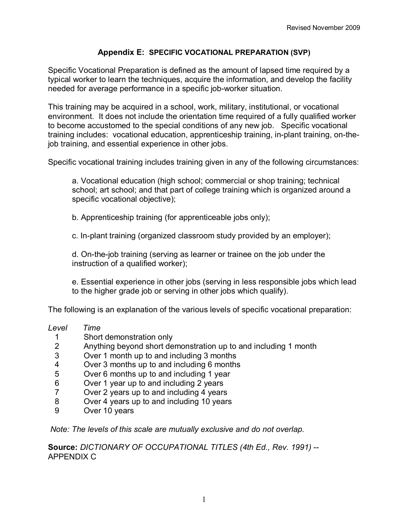## **Appendix E: SPECIFIC VOCATIONAL PREPARATION (SVP)**

Specific Vocational Preparation is defined as the amount of lapsed time required by a typical worker to learn the techniques, acquire the information, and develop the facility needed for average performance in a specific job-worker situation.

This training may be acquired in a school, work, military, institutional, or vocational environment. It does not include the orientation time required of a fully qualified worker to become accustomed to the special conditions of any new job. Specific vocational training includes: vocational education, apprenticeship training, in-plant training, on-thejob training, and essential experience in other jobs.

Specific vocational training includes training given in any of the following circumstances:

a. Vocational education (high school; commercial or shop training; technical school; art school; and that part of college training which is organized around a specific vocational objective);

b. Apprenticeship training (for apprenticeable jobs only);

c. In-plant training (organized classroom study provided by an employer);

d. On-the-job training (serving as learner or trainee on the job under the instruction of a qualified worker);

e. Essential experience in other jobs (serving in less responsible jobs which lead to the higher grade job or serving in other jobs which qualify).

The following is an explanation of the various levels of specific vocational preparation:

- *Level Time*
	- 1 Short demonstration only
	- 2 Anything beyond short demonstration up to and including 1 month
	- 3 Over 1 month up to and including 3 months
	- 4 Over 3 months up to and including 6 months
	- 5 Over 6 months up to and including 1 year
	- 6 Over 1 year up to and including 2 years
	- 7 Over 2 years up to and including 4 years
	- 8 Over 4 years up to and including 10 years
	- 9 Over 10 years

*Note: The levels of this scale are mutually exclusive and do not overlap.*

**Source:** *DICTIONARY OF OCCUPATIONAL TITLES (4th Ed., Rev. 1991)* APPENDIX C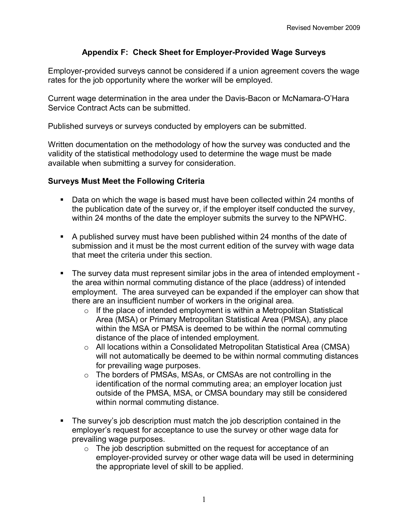# Appendix F: Check Sheet for Employer-Provided Wage Surveys

Employer-provided surveys cannot be considered if a union agreement covers the wage rates for the job opportunity where the worker will be employed.

Current wage determination in the area under the Davis-Bacon or McNamara-O'Hara Service Contract Acts can be submitted.

Published surveys or surveys conducted by employers can be submitted.

Written documentation on the methodology of how the survey was conducted and the validity of the statistical methodology used to determine the wage must be made available when submitting a survey for consideration.

## **Surveys Must Meet the Following Criteria**

- Data on which the wage is based must have been collected within 24 months of the publication date of the survey or, if the employer itself conducted the survey, within 24 months of the date the employer submits the survey to the NPWHC.
- A published survey must have been published within 24 months of the date of submission and it must be the most current edition of the survey with wage data that meet the criteria under this section.
- The survey data must represent similar jobs in the area of intended employment the area within normal commuting distance of the place (address) of intended employment. The area surveyed can be expanded if the employer can show that there are an insufficient number of workers in the original area.
	- $\circ$  If the place of intended employment is within a Metropolitan Statistical Area (MSA) or Primary Metropolitan Statistical Area (PMSA), any place within the MSA or PMSA is deemed to be within the normal commuting distance of the place of intended employment.
	- o All locations within a Consolidated Metropolitan Statistical Area (CMSA) will not automatically be deemed to be within normal commuting distances for prevailing wage purposes.
	- o The borders of PMSAs, MSAs, or CMSAs are not controlling in the identification of the normal commuting area; an employer location just outside of the PMSA, MSA, or CMSA boundary may still be considered within normal commuting distance.
- The survey's job description must match the job description contained in the employer's request for acceptance to use the survey or other wage data for prevailing wage purposes.
	- $\circ$  The job description submitted on the request for acceptance of an employer-provided survey or other wage data will be used in determining the appropriate level of skill to be applied.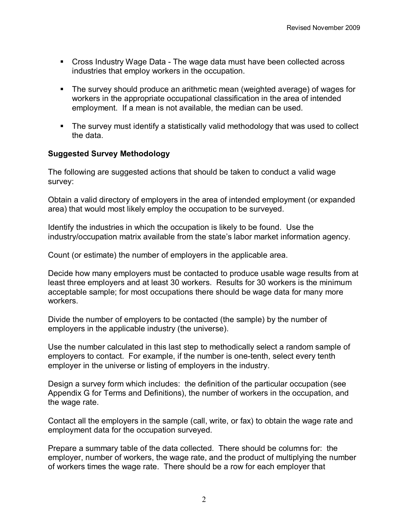- Cross Industry Wage Data The wage data must have been collected across industries that employ workers in the occupation.
- The survey should produce an arithmetic mean (weighted average) of wages for workers in the appropriate occupational classification in the area of intended employment. If a mean is not available, the median can be used.
- The survey must identify a statistically valid methodology that was used to collect the data.

## **Suggested Survey Methodology**

The following are suggested actions that should be taken to conduct a valid wage survey:

Obtain a valid directory of employers in the area of intended employment (or expanded area) that would most likely employ the occupation to be surveyed.

Identify the industries in which the occupation is likely to be found. Use the industry/occupation matrix available from the state's labor market information agency.

Count (or estimate) the number of employers in the applicable area.

Decide how many employers must be contacted to produce usable wage results from at least three employers and at least 30 workers. Results for 30 workers is the minimum acceptable sample; for most occupations there should be wage data for many more workers.

Divide the number of employers to be contacted (the sample) by the number of employers in the applicable industry (the universe).

Use the number calculated in this last step to methodically select a random sample of employers to contact. For example, if the number is one-tenth, select every tenth employer in the universe or listing of employers in the industry.

Design a survey form which includes: the definition of the particular occupation (see Appendix G for Terms and Definitions), the number of workers in the occupation, and the wage rate.

Contact all the employers in the sample (call, write, or fax) to obtain the wage rate and employment data for the occupation surveyed.

Prepare a summary table of the data collected. There should be columns for: the employer, number of workers, the wage rate, and the product of multiplying the number of workers times the wage rate. There should be a row for each employer that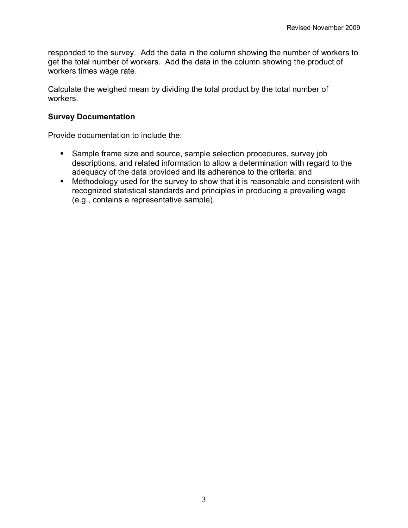responded to the survey. Add the data in the column showing the number of workers to get the total number of workers. Add the data in the column showing the product of workers times wage rate.

Calculate the weighed mean by dividing the total product by the total number of workers.

## **Survey Documentation**

Provide documentation to include the:

- Sample frame size and source, sample selection procedures, survey job descriptions, and related information to allow a determination with regard to the adequacy of the data provided and its adherence to the criteria; and
- **Methodology used for the survey to show that it is reasonable and consistent with** recognized statistical standards and principles in producing a prevailing wage (e.g., contains a representative sample).